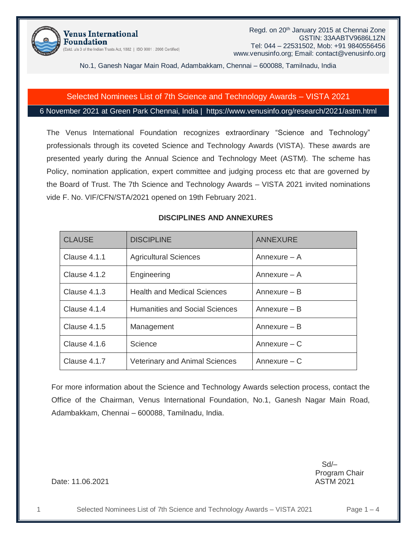

No.1, Ganesh Nagar Main Road, Adambakkam, Chennai – 600088, Tamilnadu, India

## Selected Nominees List of 7th Science and Technology Awards – VISTA 2021

6 November 2021 at Green Park Chennai, India | https://www.venusinfo.org/research/2021/astm.html

The Venus International Foundation recognizes extraordinary "Science and Technology" professionals through its coveted Science and Technology Awards (VISTA). These awards are presented yearly during the Annual Science and Technology Meet (ASTM). The scheme has Policy, nomination application, expert committee and judging process etc that are governed by the Board of Trust. The 7th Science and Technology Awards – VISTA 2021 invited nominations vide F. No. VIF/CFN/STA/2021 opened on 19th February 2021.

| <b>CLAUSE</b>       | <b>DISCIPLINE</b>                     | <b>ANNEXURE</b> |
|---------------------|---------------------------------------|-----------------|
| Clause 4.1.1        | <b>Agricultural Sciences</b>          | Annexure $-$ A  |
| Clause 4.1.2        | Engineering                           | Annexure – A    |
| Clause 4.1.3        | <b>Health and Medical Sciences</b>    | Annexure $- B$  |
| Clause 4.1.4        | <b>Humanities and Social Sciences</b> | Annexure $- B$  |
| <b>Clause 4.1.5</b> | Management                            | Annexure $- B$  |
| Clause 4.1.6        | Science                               | Annexure $- C$  |
| Clause 4.1.7        | <b>Veterinary and Animal Sciences</b> | Annexure $- C$  |

#### **DISCIPLINES AND ANNEXURES**

For more information about the Science and Technology Awards selection process, contact the Office of the Chairman, Venus International Foundation, No.1, Ganesh Nagar Main Road, Adambakkam, Chennai – 600088, Tamilnadu, India.

> Sd/– Program Chair

Date: 11.06.2021 **ASTM 2021**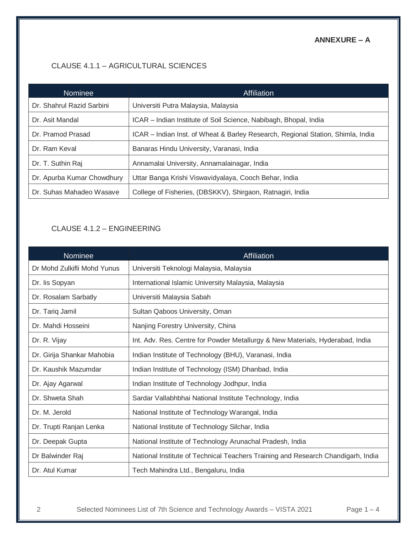# **ANNEXURE – A**

### CLAUSE 4.1.1 – AGRICULTURAL SCIENCES

| <b>Nominee</b>             | Affiliation                                                                     |
|----------------------------|---------------------------------------------------------------------------------|
| Dr. Shahrul Razid Sarbini  | Universiti Putra Malaysia, Malaysia                                             |
| Dr. Asit Mandal            | ICAR - Indian Institute of Soil Science, Nabibagh, Bhopal, India                |
| Dr. Pramod Prasad          | ICAR – Indian Inst. of Wheat & Barley Research, Regional Station, Shimla, India |
| Dr. Ram Keval              | Banaras Hindu University, Varanasi, India                                       |
| Dr. T. Suthin Raj          | Annamalai University, Annamalainagar, India                                     |
| Dr. Apurba Kumar Chowdhury | Uttar Banga Krishi Viswavidyalaya, Cooch Behar, India                           |
| Dr. Suhas Mahadeo Wasave   | College of Fisheries, (DBSKKV), Shirgaon, Ratnagiri, India                      |

### CLAUSE 4.1.2 – ENGINEERING

| Nominee                     | Affiliation                                                                      |
|-----------------------------|----------------------------------------------------------------------------------|
| Dr Mohd Zulkifli Mohd Yunus | Universiti Teknologi Malaysia, Malaysia                                          |
| Dr. lis Sopyan              | International Islamic University Malaysia, Malaysia                              |
| Dr. Rosalam Sarbatly        | Universiti Malaysia Sabah                                                        |
| Dr. Tariq Jamil             | Sultan Qaboos University, Oman                                                   |
| Dr. Mahdi Hosseini          | Nanjing Forestry University, China                                               |
| Dr. R. Vijay                | Int. Adv. Res. Centre for Powder Metallurgy & New Materials, Hyderabad, India    |
| Dr. Girija Shankar Mahobia  | Indian Institute of Technology (BHU), Varanasi, India                            |
| Dr. Kaushik Mazumdar        | Indian Institute of Technology (ISM) Dhanbad, India                              |
| Dr. Ajay Agarwal            | Indian Institute of Technology Jodhpur, India                                    |
| Dr. Shweta Shah             | Sardar Vallabhbhai National Institute Technology, India                          |
| Dr. M. Jerold               | National Institute of Technology Warangal, India                                 |
| Dr. Trupti Ranjan Lenka     | National Institute of Technology Silchar, India                                  |
| Dr. Deepak Gupta            | National Institute of Technology Arunachal Pradesh, India                        |
| Dr Balwinder Raj            | National Institute of Technical Teachers Training and Research Chandigarh, India |
| Dr. Atul Kumar              | Tech Mahindra Ltd., Bengaluru, India                                             |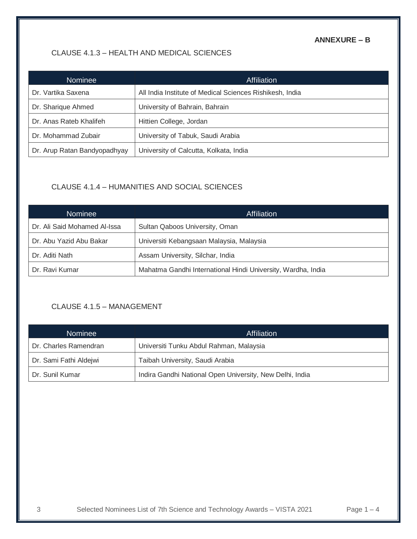# **ANNEXURE – B**

#### CLAUSE 4.1.3 – HEALTH AND MEDICAL SCIENCES

| <b>Nominee</b>               | Affiliation                                              |
|------------------------------|----------------------------------------------------------|
| Dr. Vartika Saxena           | All India Institute of Medical Sciences Rishikesh, India |
| Dr. Sharique Ahmed           | University of Bahrain, Bahrain                           |
| Dr. Anas Rateb Khalifeh      | Hittien College, Jordan                                  |
| Dr. Mohammad Zubair          | University of Tabuk, Saudi Arabia                        |
| Dr. Arup Ratan Bandyopadhyay | University of Calcutta, Kolkata, India                   |

### CLAUSE 4.1.4 – HUMANITIES AND SOCIAL SCIENCES

| <b>Nominee</b>               | Affiliation                                                  |
|------------------------------|--------------------------------------------------------------|
| Dr. Ali Said Mohamed Al-Issa | Sultan Qaboos University, Oman                               |
| Dr. Abu Yazid Abu Bakar      | Universiti Kebangsaan Malaysia, Malaysia                     |
| Dr. Aditi Nath               | Assam University, Silchar, India                             |
| Dr. Ravi Kumar               | Mahatma Gandhi International Hindi University, Wardha, India |

### CLAUSE 4.1.5 – MANAGEMENT

| <b>Nominee</b>         | Affiliation                                              |
|------------------------|----------------------------------------------------------|
| Dr. Charles Ramendran  | Universiti Tunku Abdul Rahman, Malaysia                  |
| Dr. Sami Fathi Aldejwi | Taibah University, Saudi Arabia                          |
| Dr. Sunil Kumar        | Indira Gandhi National Open University, New Delhi, India |